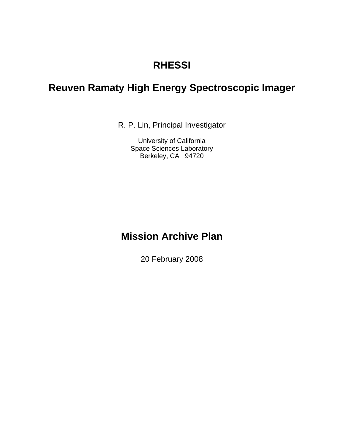# **RHESSI**

# **Reuven Ramaty High Energy Spectroscopic Imager**

R. P. Lin, Principal Investigator

University of California Space Sciences Laboratory Berkeley, CA 94720

# **Mission Archive Plan**

20 February 2008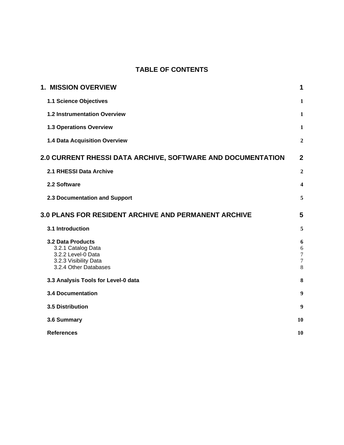# **TABLE OF CONTENTS**

| <b>1. MISSION OVERVIEW</b>                                                                                             | 1                                         |
|------------------------------------------------------------------------------------------------------------------------|-------------------------------------------|
| 1.1 Science Objectives                                                                                                 | $\mathbf{1}$                              |
| 1.2 Instrumentation Overview                                                                                           | $\mathbf{1}$                              |
| <b>1.3 Operations Overview</b>                                                                                         | $\mathbf{1}$                              |
| 1.4 Data Acquisition Overview                                                                                          | $\boldsymbol{2}$                          |
| <b>2.0 CURRENT RHESSI DATA ARCHIVE, SOFTWARE AND DOCUMENTATION</b>                                                     | $\overline{2}$                            |
| 2.1 RHESSI Data Archive                                                                                                | $\overline{2}$                            |
| 2.2 Software                                                                                                           | $\overline{\mathbf{4}}$                   |
| 2.3 Documentation and Support                                                                                          | 5                                         |
| <b>3.0 PLANS FOR RESIDENT ARCHIVE AND PERMANENT ARCHIVE</b>                                                            | 5                                         |
| 3.1 Introduction                                                                                                       | 5                                         |
| <b>3.2 Data Products</b><br>3.2.1 Catalog Data<br>3.2.2 Level-0 Data<br>3.2.3 Visibility Data<br>3.2.4 Other Databases | 6<br>6<br>$\boldsymbol{7}$<br>$\tau$<br>8 |
| 3.3 Analysis Tools for Level-0 data                                                                                    | 8                                         |
| <b>3.4 Documentation</b>                                                                                               | $\boldsymbol{9}$                          |
| 3.5 Distribution                                                                                                       | 9                                         |
| 3.6 Summary                                                                                                            | 10                                        |
| <b>References</b>                                                                                                      | 10                                        |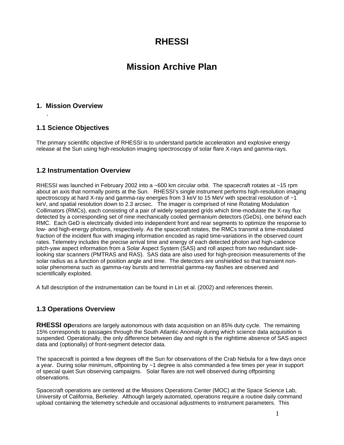# **RHESSI**

# **Mission Archive Plan**

### <span id="page-2-0"></span>**1. Mission Overview**

.

# **1.1 Science Objectives**

The primary scientific objective of RHESSI is to understand particle acceleration and explosive energy release at the Sun using high-resolution imaging spectroscopy of solar flare X-rays and gamma-rays.

### **1.2 Instrumentation Overview**

RHESSI was launched in February 2002 into a ~600 km circular orbit. The spacecraft rotates at ~15 rpm about an axis that normally points at the Sun. RHESSI's single instrument performs high-resolution imaging spectroscopy at hard X-ray and gamma-ray energies from 3 keV to 15 MeV with spectral resolution of  $\sim1$ keV, and spatial resolution down to 2.3 arcsec. The imager is comprised of nine Rotating Modulation Collimators (RMCs), each consisting of a pair of widely separated grids which time-modulate the X-ray flux detected by a corresponding set of nine mechanically cooled germanium detectors (GeDs), one behind each RMC. Each GeD is electrically divided into independent front and rear segments to optimize the response to low- and high-energy photons, respectively. As the spacecraft rotates, the RMCs transmit a time-modulated fraction of the incident flux with imaging information encoded as rapid time-variations in the observed count rates. Telemetry includes the precise arrival time and energy of each detected photon and high-cadence pitch-yaw aspect information from a Solar Aspect System (SAS) and roll aspect from two redundant sidelooking star scanners (PMTRAS and RAS). SAS data are also used for high-precision measurements of the solar radius as a function of position angle and time. The detectors are unshielded so that transient nonsolar phenomena such as gamma-ray bursts and terrestrial gamma-ray flashes are observed and scientifically exploited.

A full description of the instrumentation can be found in Lin et al. (2002) and references therein.

# **1.3 Operations Overview**

**RHESSI op**erations are largely autonomous with data acquisition on an 85% duty cycle. The remaining 15% corresponds to passages through the South Atlantic Anomaly during which science data acquisition is suspended. Operationally, the only difference between day and night is the nighttime absence of SAS aspect data and (optionally) of front-segment detector data.

The spacecraft is pointed a few degrees off the Sun for observations of the Crab Nebula for a few days once a year. During solar minimum, offpointing by ~1 degree is also commanded a few times per year in support of special quiet Sun observing campaigns. Solar flares are not well observed during offpointing observations.

Spacecraft operations are centered at the Missions Operations Center (MOC) at the Space Science Lab, University of California, Berkeley. Although largely automated, operations require a routine daily command upload containing the telemetry schedule and occasional adjustments to instrument parameters. This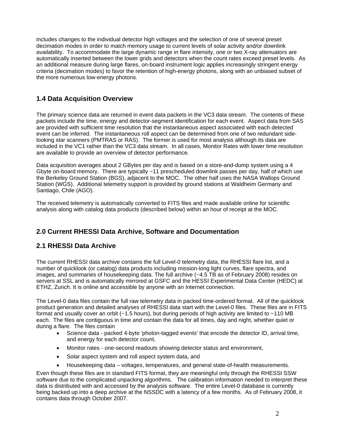<span id="page-3-0"></span>includes changes to the individual detector high voltages and the selection of one of several preset decimation modes in order to match memory usage to current levels of solar activity and/or downlink availability. To accommodate the large dynamic range in flare intensity, one or two X-ray attenuators are automatically inserted between the lower grids and detectors when the count rates exceed preset levels. As an additional measure during large flares, on-board instrument logic applies increasingly stringent energy criteria (decimation modes) to favor the retention of high-energy photons, along with an unbiased subset of the more numerous low-energy photons.

# **1.4 Data Acquisition Overview**

The primary science data are returned in event data packets in the VC3 data stream. The contents of these packets include the time, energy and detector-segment identification for each event. Aspect data from SAS are provided with sufficient time resolution that the instantaneous aspect associated with each detected event can be inferred. The instantaneous roll aspect can be determined from one of two redundant sidelooking star scanners (PMTRAS or RAS). The former is used for most analysis although its data are included in the VC1 rather than the VC3 data stream. In all cases, Monitor Rates with lower time resolution are available to provide an overview of detector performance.

Data acquisition averages about 2 GBytes per day and is based on a store-and-dump system using a 4 Gbyte on-board memory. There are typically ~11 prescheduled downlink passes per day, half of which use the Berkeley Ground Station (BGS), adjacent to the MOC. The other half uses the NASA Wallops Ground Station (WGS). Additional telemetry support is provided by ground stations at Waldheim Germany and Santiago, Chile (AGO).

The received telemetry is automatically converted to FITS files and made available online for scientific analysis along with catalog data products (described below) within an hour of receipt at the MOC.

# **2.0 Current RHESSI Data Archive, Software and Documentation**

# **2.1 RHESSI Data Archive**

The current RHESSI data archive contains the full Level-0 telemetry data, the RHESSI flare list, and a number of quicklook (or catalog) data products including mission-long light curves, flare spectra, and images, and summaries of housekeeping data. The full archive (~4.5 TB as of February 2008) resides on servers at SSL and is automatically mirrored at GSFC and the HESSI Experimental Data Center (HEDC) at ETHZ, Zurich. It is online and accessible by anyone with an Internet connection.

The Level-0 data files contain the full raw telemetry data in packed time-ordered format. All of the quicklook product generation and detailed analyses of RHESSI data start with the Level-0 files. These files are in FITS format and usually cover an orbit (~1.5 hours), but during periods of high activity are limited to ~110 MB each. The files are contiguous in time and contain the data for all times, day and night, whether quiet or during a flare. The files contain

- Science data packed 4-byte 'photon-tagged events' that encode the detector ID, arrival time, and energy for each detector count,
- Monitor rates one-second readouts showing detector status and environment,
- Solar aspect system and roll aspect system data, and
- Housekeeping data voltages, temperatures, and general state-of-health measurements.

Even though these files are in standard FITS format, they are meaningful only through the RHESSI SSW software due to the complicated unpacking algorithms. The calibration information needed to interpret these data is distributed with and accessed by the analysis software. The entire Level-0 database is currently being backed up into a deep archive at the NSSDC with a latency of a few months. As of February 2008, it contains data through October 2007.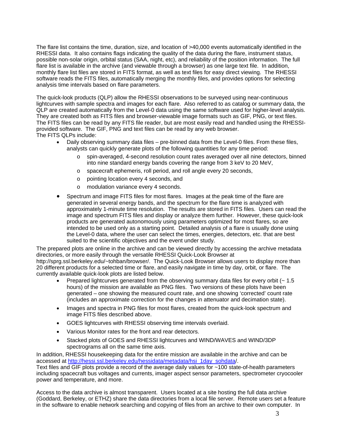The flare list contains the time, duration, size, and location of >40,000 events automatically identified in the RHESSI data. It also contains flags indicating the quality of the data during the flare, instrument status, possible non-solar origin, orbital status (SAA, night, etc), and reliability of the position information. The full flare list is available in the archive (and viewable through a browser) as one large text file. In addition, monthly flare list files are stored in FITS format, as well as text files for easy direct viewing. The RHESSI software reads the FITS files, automatically merging the monthly files, and provides options for selecting analysis time intervals based on flare parameters.

The quick-look products (QLP) allow the RHESSI observations to be surveyed using near-continuous lightcurves with sample spectra and images for each flare. Also referred to as catalog or summary data, the QLP are created automatically from the Level-0 data using the same software used for higher-level analysis. They are created both as FITS files and browser-viewable image formats such as GIF, PNG, or text files. The FITS files can be read by any FITS file reader, but are most easily read and handled using the RHESSIprovided software. The GIF, PNG and text files can be read by any web browser. The FITS QLPs include:

- Daily observing summary data files pre-binned data from the Level-0 files. From these files, analysts can quickly generate plots of the following quantities for any time period:
	- o spin-averaged, 4-second resolution count rates averaged over all nine detectors, binned into nine standard energy bands covering the range from 3 keV to 20 MeV,
	- o spacecraft ephemeris, roll period, and roll angle every 20 seconds,
	- o pointing location every 4 seconds, and
	- o modulation variance every 4 seconds.
- Spectrum and image FITS files for most flares. Images at the peak time of the flare are generated in several energy bands, and the spectrum for the flare time is analyzed with approximately 1-minute time resolution. The results are stored in FITS files. Users can read the image and spectrum FITS files and display or analyze them further. However, these quick-look products are generated autonomously using parameters optimized for most flares, so are intended to be used only as a starting point. Detailed analysis of a flare is usually done using the Level-0 data, where the user can select the times, energies, detectors, etc. that are best suited to the scientific objectives and the event under study.

The prepared plots are online in the archive and can be viewed directly by accessing the archive metadata directories, or more easily through the versatile RHESSI Quick-Look Browser at http://sprg.ssl.berkeley.edu/~tohban/browser/. The Quick-Look Browser allows users to display more than 20 different products for a selected time or flare, and easily navigate in time by day, orbit, or flare. The currently available quick-look plots are listed below.

- Prepared lightcurves generated from the observing summary data files for every orbit  $\sim$  1.5 hours) of the mission are available as PNG files. Two versions of these plots have been generated – one showing the measured count rate, and one showing 'corrected' count rate (includes an approximate correction for the changes in attenuator and decimation state).
- Images and spectra in PNG files for most flares, created from the quick-look spectrum and image FITS files described above.
- GOES lightcurves with RHESSI observing time intervals overlaid.
- Various Monitor rates for the front and rear detectors.
- Stacked plots of GOES and RHESSI lightcurves and WIND/WAVES and WIND/3DP spectrograms all on the same time axis.

In addition, RHESSI housekeeping data for the entire mission are available in the archive and can be accessed at http://hessi.ssl.berkeley.edu/hessidata/metadata/hsi\_1day\_sohdata/. Text files and GIF plots provide a record of the average daily values for ~100 state-of-health parameters including spacecraft bus voltages and currents, imager aspect sensor parameters, spectrometer cryocooler power and temperature, and more.

Access to the data archive is almost transparent. Users located at a site hosting the full data archive (Goddard, Berkeley, or ETHZ) share the data directories from a local file server. Remote users set a feature in the software to enable network searching and copying of files from an archive to their own computer. In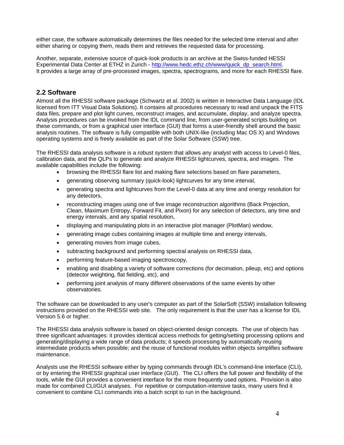<span id="page-5-0"></span>either case, the software automatically determines the files needed for the selected time interval and after either sharing or copying them, reads them and retrieves the requested data for processing.

Another, separate, extensive source of quick-look products is an archive at the Swiss-funded HESSI Experimental Data Center at ETHZ in Zurich - [http://www.hedc.ethz.ch/www/quick\\_dp\\_search.html](http://www.hedc.ethz.ch/www/quick_dp_search.html). It provides a large array of pre-processed images, spectra, spectrograms, and more for each RHESSI flare.

# **2.2 Software**

Almost all the RHESSI software package (Schwartz et al. 2002) is written in Interactive Data Language (IDL licensed from ITT Visual Data Solutions). It contains all procedures necessary to read and unpack the FITS data files, prepare and plot light curves, reconstruct images, and accumulate, display, and analyze spectra. Analysis procedures can be invoked from the IDL command line, from user-generated scripts building on these commands, or from a graphical user interface (GUI) that forms a user-friendly shell around the basic analysis routines. The software is fully compatible with both UNIX-like (including Mac OS X) and Windows operating systems and is freely available as part of the Solar Software (SSW) tree.

The RHESSI data analysis software is a robust system that allows any analyst with access to Level-0 files, calibration data, and the QLPs to generate and analyze RHESSI lightcurves, spectra, and images. The available capabilities include the following:

- browsing the RHESSI flare list and making flare selections based on flare parameters,
- generating observing summary (quick-look) lightcurves for any time interval,
- generating spectra and lightcurves from the Level-0 data at any time and energy resolution for any detectors,
- reconstructing images using one of five image reconstruction algorithms (Back Projection, Clean, Maximum Entropy, Forward Fit, and Pixon) for any selection of detectors, any time and energy intervals, and any spatial resolution,
- displaying and manipulating plots in an interactive plot manager (PlotMan) window,
- generating image cubes containing images at multiple time and energy intervals,
- generating movies from image cubes,
- subtracting background and performing spectral analysis on RHESSI data,
- performing feature-based imaging spectroscopy,
- enabling and disabling a variety of software corrections (for decimation, pileup, etc) and options (detector weighting, flat fielding, etc), and
- performing joint analysis of many different observations of the same events by other observatories.

The software can be downloaded to any user's computer as part of the SolarSoft (SSW) installation following instructions provided on the RHESSI web site. The only requirement is that the user has a license for IDL Version 5.6 or higher.

The RHESSI data analysis software is based on object-oriented design concepts. The use of objects has three significant advantages: it provides identical access methods for getting/setting processing options and generating/displaying a wide range of data products; it speeds processing by automatically reusing intermediate products when possible; and the reuse of functional modules within objects simplifies software maintenance.

Analysts use the RHESSI software either by typing commands through IDL's command-line interface (CLI), or by entering the RHESSI graphical user interface (GUI). The CLI offers the full power and flexibility of the tools, while the GUI provides a convenient interface for the more frequently used options. Provision is also made for combined CLI/GUI analyses. For repetitive or computation-intensive tasks, many users find it convenient to combine CLI commands into a batch script to run in the background.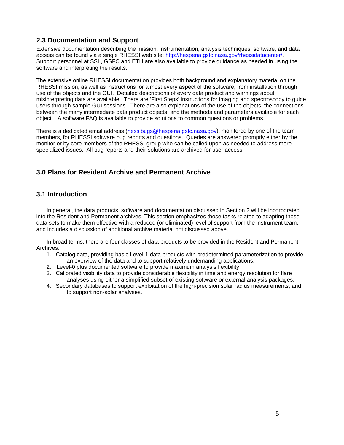# <span id="page-6-0"></span>**2.3 Documentation and Support**

Extensive documentation describing the mission, instrumentation, analysis techniques, software, and data access can be found via a single RHESSI web site: [http://hesperia.gsfc.nasa.gov/rhessidatacenter/.](http://hesperia.gsfc.nasa.gov/rhessidatacenter/) Support personnel at SSL, GSFC and ETH are also available to provide guidance as needed in using the software and interpreting the results.

The extensive online RHESSI documentation provides both background and explanatory material on the RHESSI mission, as well as instructions for almost every aspect of the software, from installation through use of the objects and the GUI. Detailed descriptions of every data product and warnings about misinterpreting data are available. There are 'First Steps' instructions for imaging and spectroscopy to guide users through sample GUI sessions. There are also explanations of the use of the objects, the connections between the many intermediate data product objects, and the methods and parameters available for each object. A software FAQ is available to provide solutions to common questions or problems.

There is a dedicated email address ([hessibugs@hesperia.gsfc.nasa.gov\)](mailto:hessibugs@hesperia.gsfc.nasa.gov), monitored by one of the team members, for RHESSI software bug reports and questions. Queries are answered promptly either by the monitor or by core members of the RHESSI group who can be called upon as needed to address more specialized issues. All bug reports and their solutions are archived for user access.

# **3.0 Plans for Resident Archive and Permanent Archive**

### **3.1 Introduction**

In general, the data products, software and documentation discussed in Section 2 will be incorporated into the Resident and Permanent archives. This section emphasizes those tasks related to adapting those data sets to make them effective with a reduced (or eliminated) level of support from the instrument team, and includes a discussion of additional archive material not discussed above.

In broad terms, there are four classes of data products to be provided in the Resident and Permanent Archives:

- 1. Catalog data, providing basic Level-1 data products with predetermined parameterization to provide an overview of the data and to support relatively undemanding applications;
- 2. Level-0 plus documented software to provide maximum analysis flexibility;
- 3. Calibrated visibility data to provide considerable flexibility in time and energy resolution for flare analyses using either a simplified subset of existing software or external analysis packages;
- 4. Secondary databases to support exploitation of the high-precision solar radius measurements; and to support non-solar analyses.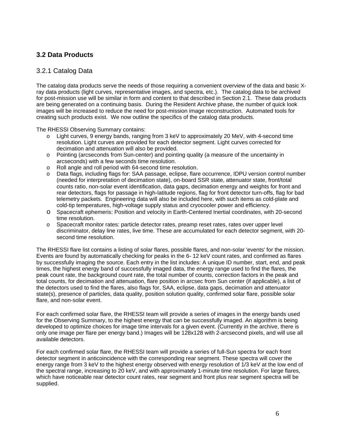# <span id="page-7-0"></span>**3.2 Data Products**

### 3.2.1 Catalog Data

The catalog data products serve the needs of those requiring a convenient overview of the data and basic Xray data products (light curves, representative images, and spectra, etc.). The catalog data to be archived for post-mission use will be similar in form and content to that described in Section 2.1. These data products are being generated on a continuing basis. During the Resident Archive phase, the number of quick look images will be increased to reduce the need for post-mission image reconstruction. Automated tools for creating such products exist. We now outline the specifics of the catalog data products.

The RHESSI Observing Summary contains:

- o Light curves, 9 energy bands, ranging from 3 keV to approximately 20 MeV, with 4-second time resolution. Light curves are provided for each detector segment. Light curves corrected for decimation and attenuation will also be provided.
- o Pointing (arcseconds from Sun-center) and pointing quality (a measure of the uncertainty in arcseconds) with a few seconds time resolution.
- o Roll angle and roll period with 64-second time resolution.
- o Data flags, including flags for: SAA passage, eclipse, flare occurrence, IDPU version control number (needed for interpretation of decimation state), on-board SSR state, attenuator state, front/total counts ratio, non-solar event identification, data gaps, decimation energy and weights for front and rear detectors, flags for passage in high-latitude regions, flag for front detector turn-offs, flag for bad telemetry packets. Engineering data will also be included here, with such items as cold-plate and cold-tip temperatures, high-voltage supply status and cryocooler power and efficiency.
- o Spacecraft ephemeris: Position and velocity in Earth-Centered Inertial coordinates, with 20-second time resolution.
- o Spacecraft monitor rates: particle detector rates, preamp reset rates, rates over upper level discriminator, delay line rates, live time. These are accumulated for each detector segment, with 20 second time resolution.

The RHESSI flare list contains a listing of solar flares, possible flares, and non-solar 'events' for the mission. Events are found by automatically checking for peaks in the 6- 12 keV count rates, and confirmed as flares by successfully imaging the source. Each entry in the list includes: A unique ID number, start, end, and peak times, the highest energy band of successfully imaged data, the energy range used to find the flares, the peak count rate, the background count rate, the total number of counts, correction factors in the peak and total counts, for decimation and attenuation, flare position in arcsec from Sun center (if applicable), a list of the detectors used to find the flares, also flags for, SAA, eclipse, data gaps, decimation and attenuator state(s), presence of particles, data quality, position solution quality, confirmed solar flare, possible solar flare, and non-solar event.

For each confirmed solar flare, the RHESSI team will provide a series of images in the energy bands used for the Observing Summary, to the highest energy that can be successfully imaged. An algorithm is being developed to optimize choices for image time intervals for a given event. (Currently in the archive, there is only one image per flare per energy band.) Images will be 128x128 with 2-arcsecond pixels, and will use all available detectors.

For each confirmed solar flare, the RHESSI team will provide a series of full-Sun spectra for each front detector segment in anticoincidence with the corresponding rear segment. These spectra will cover the energy range from 3 keV to the highest energy observed with energy resolution of 1/3 keV at the low end of the spectral range, increasing to 20 keV, and with approximately 1-minute time resolution. For large flares, which have noticeable rear detector count rates, rear segment and front plus rear segment spectra will be supplied.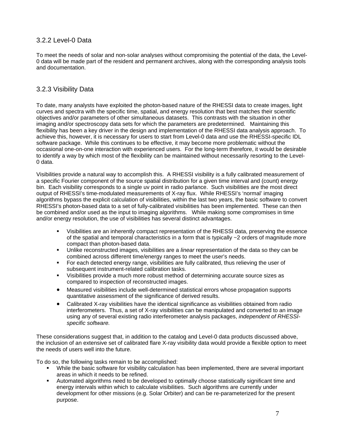# <span id="page-8-0"></span>3.2.2 Level-0 Data

To meet the needs of solar and non-solar analyses without compromising the potential of the data, the Level-0 data will be made part of the resident and permanent archives, along with the corresponding analysis tools and documentation.

### 3.2.3 Visibility Data

To date, many analysts have exploited the photon-based nature of the RHESSI data to create images, light curves and spectra with the specific time, spatial, and energy resolution that best matches their scientific objectives and/or parameters of other simultaneous datasets. This contrasts with the situation in other imaging and/or spectroscopy data sets for which the parameters are predetermined. Maintaining this flexibility has been a key driver in the design and implementation of the RHESSI data analysis approach. To achieve this, however, it is necessary for users to start from Level-0 data and use the RHESSI-specific IDL software package. While this continues to be effective, it may become more problematic without the occasional one-on-one interaction with experienced users. For the long-term therefore, it would be desirable to identify a way by which most of the flexibility can be maintained without necessarily resorting to the Level-0 data.

Visibilities provide a natural way to accomplish this. A RHESSI visibility is a fully calibrated measurement of a specific Fourier component of the source spatial distribution for a given time interval and (count) energy bin. Each visibility corresponds to a single uv point in radio parlance. Such visibilities are the most direct output of RHESSI's time-modulated measurements of X-ray flux. While RHESSI's 'normal' imaging algorithms bypass the explicit calculation of visibilities, within the last two years, the basic software to convert RHESSI's photon-based data to a set of fully-calibrated visibilities has been implemented. These can then be combined and/or used as the input to imaging algorithms. While making some compromises in time and/or energy resolution, the use of visibilities has several distinct advantages.

- Visibilities are an inherently compact representation of the RHESSI data, preserving the essence of the spatial and temporal characteristics in a form that is typically  $\sim$  2 orders of magnitude more compact than photon-based data.
- Unlike reconstructed images, visibilities are a *linear* representation of the data so they can be combined across different time/energy ranges to meet the user's needs.
- For each detected energy range, visibilities are fully calibrated, thus relieving the user of subsequent instrument-related calibration tasks.
- Visibilities provide a much more robust method of determining accurate source sizes as compared to inspection of reconstructed images.
- Measured visibilities include well-determined statistical errors whose propagation supports quantitative assessment of the significance of derived results.
- Calibrated X-ray visibilities have the identical significance as visibilities obtained from radio interferometers. Thus, a set of X-ray visibilities can be manipulated and converted to an image using any of several existing radio interferometer analysis packages, *independent of RHESSIspecific software.*

These considerations suggest that, in addition to the catalog and Level-0 data products discussed above, the inclusion of an extensive set of calibrated flare X-ray visibility data would provide a flexible option to meet the needs of users well into the future.

To do so, the following tasks remain to be accomplished:

- While the basic software for visibility calculation has been implemented, there are several important areas in which it needs to be refined.
- Automated algorithms need to be developed to optimally choose statistically significant time and energy intervals within which to calculate visibilities. Such algorithms are currently under development for other missions (e.g. Solar Orbiter) and can be re-parameterized for the present purpose.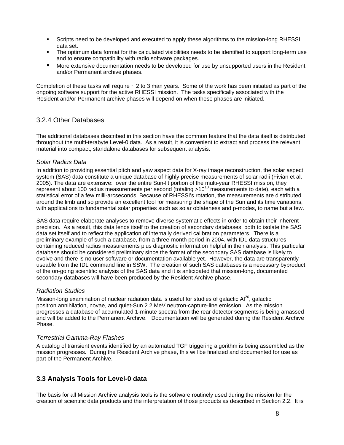- <span id="page-9-0"></span> Scripts need to be developed and executed to apply these algorithms to the mission-long RHESSI data set.
- The optimum data format for the calculated visibilities needs to be identified to support long-term use and to ensure compatibility with radio software packages.
- More extensive documentation needs to be developed for use by unsupported users in the Resident and/or Permanent archive phases.

Completion of these tasks will require  $\sim$  2 to 3 man years. Some of the work has been initiated as part of the ongoing software support for the active RHESSI mission. The tasks specifically associated with the Resident and/or Permanent archive phases will depend on when these phases are initiated.

# 3.2.4 Other Databases

The additional databases described in this section have the common feature that the data itself is distributed throughout the multi-terabyte Level-0 data. As a result, it is convenient to extract and process the relevant material into compact, standalone databases for subsequent analysis.

#### *Solar Radius Data*

In addition to providing essential pitch and yaw aspect data for X-ray image reconstruction, the solar aspect system (SAS) data constitute a unique database of highly precise measurements of solar radii (Fivian et al. 2005). The data are extensive: over the entire Sun-lit portion of the multi-year RHESSI mission, they represent about 100 radius measurements per second (totaling  $>10^{10}$  measurements to date), each with a statistical error of a few milli-arcseconds. Because of RHESSI's rotation, the measurements are distributed around the limb and so provide an excellent tool for measuring the shape of the Sun and its time variations, with applications to fundamental solar properties such as solar oblateness and p-modes, to name but a few.

SAS data require elaborate analyses to remove diverse systematic effects in order to obtain their inherent precision. As a result, this data lends itself to the creation of secondary databases, both to isolate the SAS data set itself and to reflect the application of internally derived calibration parameters. There is a preliminary example of such a database, from a three-month period in 2004, with IDL data structures containing reduced radius measurements plus diagnostic information helpful in their analysis. This particular database should be considered preliminary since the format of the secondary SAS database is likely to evolve and there is no user software or documentation available yet. However, the data are transparently useable from the IDL command line in SSW. The creation of such SAS databases is a necessary byproduct of the on-going scientific analysis of the SAS data and it is anticipated that mission-long, documented secondary databases will have been produced by the Resident Archive phase.

#### *Radiation Studies*

Mission-long examination of nuclear radiation data is useful for studies of galactic  $Al^{26}$ , galactic positron annihilation, novae, and quiet-Sun 2.2 MeV neutron-capture-line emission. As the mission progresses a database of accumulated 1-minute spectra from the rear detector segments is being amassed and will be added to the Permanent Archive. Documentation will be generated during the Resident Archive Phase.

#### *Terrestrial Gamma-Ray Flashes*

A catalog of transient events identified by an automated TGF triggering algorithm is being assembled as the mission progresses. During the Resident Archive phase, this will be finalized and documented for use as part of the Permanent Archive.

# **3.3 Analysis Tools for Level-0 data**

The basis for all Mission Archive analysis tools is the software routinely used during the mission for the creation of scientific data products and the interpretation of those products as described in Section 2.2. It is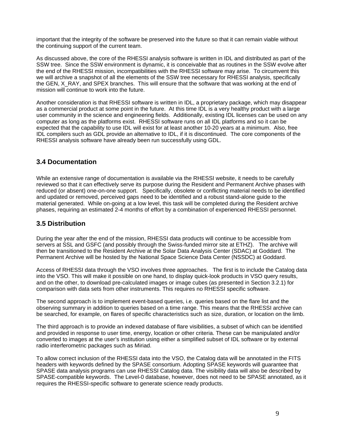<span id="page-10-0"></span>important that the integrity of the software be preserved into the future so that it can remain viable without the continuing support of the current team.

As discussed above, the core of the RHESSI analysis software is written in IDL and distributed as part of the SSW tree. Since the SSW environment is dynamic, it is conceivable that as routines in the SSW evolve after the end of the RHESSI mission, incompatibilities with the RHESSI software may arise. To circumvent this we will archive a snapshot of all the elements of the SSW tree necessary for RHESSI analysis, specifically the GEN, X\_RAY, and SPEX branches. This will ensure that the software that was working at the end of mission will continue to work into the future.

Another consideration is that RHESSI software is written in IDL, a proprietary package, which may disappear as a commercial product at some point in the future. At this time IDL is a very healthy product with a large user community in the science and engineering fields. Additionally, existing IDL licenses can be used on any computer as long as the platforms exist. RHESSI software runs on all IDL platforms and so it can be expected that the capability to use IDL will exist for at least another 10-20 years at a minimum. Also, free IDL compilers such as GDL provide an alternative to IDL, if it is discontinued. The core components of the RHESSI analysis software have already been run successfully using GDL.

#### **3.4 Documentation**

While an extensive range of documentation is available via the RHESSI website, it needs to be carefully reviewed so that it can effectively serve its purpose during the Resident and Permanent Archive phases with reduced (or absent) one-on-one support. Specifically, obsolete or conflicting material needs to be identified and updated or removed, perceived gaps need to be identified and a robust stand-alone guide to the material generated. While on-going at a low level, this task will be completed during the Resident archive phases, requiring an estimated 2-4 months of effort by a combination of experienced RHESSI personnel.

#### **3.5 Distribution**

During the year after the end of the mission, RHESSI data products will continue to be accessible from servers at SSL and GSFC (and possibly through the Swiss-funded mirror site at ETHZ). The archive will then be transitioned to the Resident Archive at the Solar Data Analysis Center (SDAC) at Goddard. The Permanent Archive will be hosted by the National Space Science Data Center (NSSDC) at Goddard.

Access of RHESSI data through the VSO involves three approaches. The first is to include the Catalog data into the VSO. This will make it possible on one hand, to display quick-look products in VSO query results, and on the other, to download pre-calculated images or image cubes (as presented in Section 3.2.1) for comparison with data sets from other instruments. This requires no RHESSI specific software.

The second approach is to implement event-based queries, i.e. queries based on the flare list and the observing summary in addition to queries based on a time range. This means that the RHESSI archive can be searched, for example, on flares of specific characteristics such as size, duration, or location on the limb.

The third approach is to provide an indexed database of flare visibilities, a subset of which can be identified and provided in response to user time, energy, location or other criteria. These can be manipulated and/or converted to images at the user's institution using either a simplified subset of IDL software or by external radio interferometric packages such as Miriad.

To allow correct inclusion of the RHESSI data into the VSO, the Catalog data will be annotated in the FITS headers with keywords defined by the SPASE consortium. Adopting SPASE keywords will guarantee that SPASE data analysis programs can use RHESSI Catalog data. The visibility data will also be described by SPASE-compatible keywords. The Level-0 database, however, does not need to be SPASE annotated, as it requires the RHESSI-specific software to generate science ready products.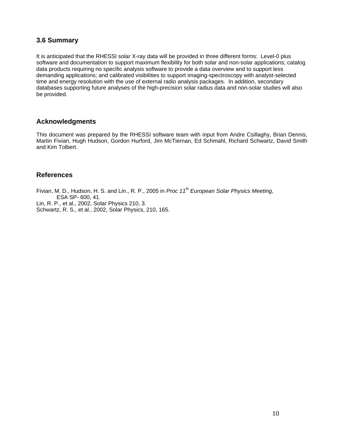# <span id="page-11-0"></span>**3.6 Summary**

It is anticipated that the RHESSI solar X-ray data will be provided in three different forms: Level-0 plus software and documentation to support maximum flexibility for both solar and non-solar applications; catalog data products requiring no specific analysis software to provide a data overview and to support less demanding applications; and calibrated visibilities to support imaging-spectroscopy with analyst-selected time and energy resolution with the use of external radio analysis packages. In addition, secondary databases supporting future analyses of the high-precision solar radius data and non-solar studies will also be provided.

#### **Acknowledgments**

This document was prepared by the RHESSI software team with input from Andre Csillaghy, Brian Dennis, Martin Fivian, Hugh Hudson, Gordon Hurford, Jim McTiernan, Ed Schmahl, Richard Schwartz, David Smith and Kim Tolbert.

#### **References**

Fivian, M. D., Hudson, H. S. and Lin., R. P., 2005 in *Proc 11th European Solar Physics Meeting*, ESA SP- 600, 41.

Lin, R. P., et al., 2002, Solar Physics 210, 3.

Schwartz, R. S., et al., 2002, Solar Physics, 210, 165.